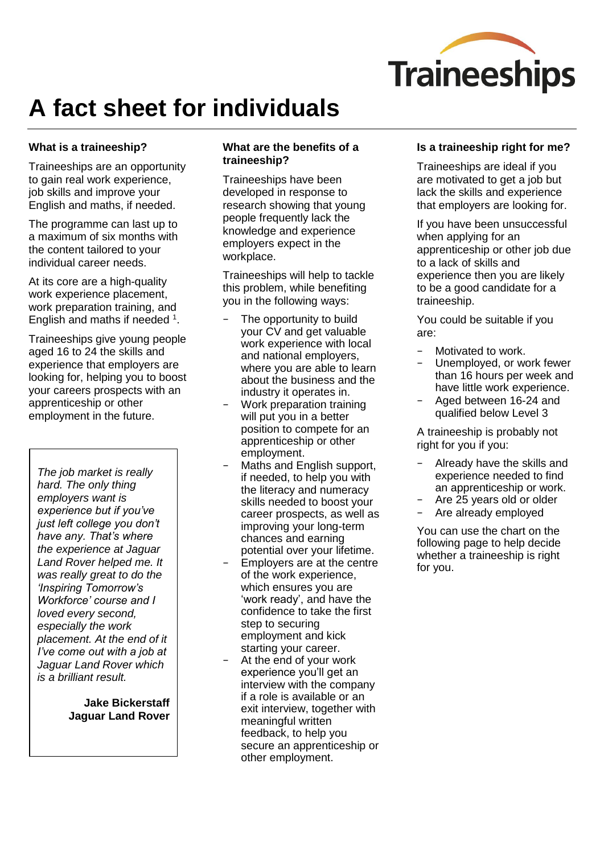

# **A fact sheet for individuals**

# **What is a traineeship?**

Traineeships are an opportunity to gain real work experience, job skills and improve your English and maths, if needed.

The programme can last up to a maximum of six months with the content tailored to your individual career needs.

At its core are a high-quality work experience placement, work preparation training, and English and maths if needed <sup>1</sup>.

Traineeships give young people aged 16 to 24 the skills and experience that employers are looking for, helping you to boost your careers prospects with an apprenticeship or other employment in the future.

*The job market is really hard. The only thing employers want is experience but if you've just left college you don't have any. That's where the experience at Jaguar Land Rover helped me. It was really great to do the 'Inspiring Tomorrow's Workforce' course and I loved every second, especially the work placement. At the end of it I've come out with a job at Jaguar Land Rover which is a brilliant result.*

> **Jake Bickerstaff Jaguar Land Rover**

# **What are the benefits of a traineeship?**

Traineeships have been developed in response to research showing that young people frequently lack the knowledge and experience employers expect in the workplace.

Traineeships will help to tackle this problem, while benefiting you in the following ways:

- The opportunity to build your CV and get valuable work experience with local and national employers, where you are able to learn about the business and the industry it operates in.
- − Work preparation training will put you in a better position to compete for an apprenticeship or other employment.
- − Maths and English support, if needed, to help you with the literacy and numeracy skills needed to boost your career prospects, as well as improving your long-term chances and earning potential over your lifetime.
- Employers are at the centre of the work experience, which ensures you are 'work ready', and have the confidence to take the first step to securing employment and kick starting your career.
- At the end of your work experience you'll get an interview with the company if a role is available or an exit interview, together with meaningful written feedback, to help you secure an apprenticeship or other employment.

## **Is a traineeship right for me?**

Traineeships are ideal if you are motivated to get a job but lack the skills and experience that employers are looking for.

If you have been unsuccessful when applying for an apprenticeship or other job due to a lack of skills and experience then you are likely to be a good candidate for a traineeship.

You could be suitable if you are:

- − Motivated to work.
- Unemployed, or work fewer than 16 hours per week and have little work experience.
- − Aged between 16-24 and qualified below Level 3

A traineeship is probably not right for you if you:

- − Already have the skills and experience needed to find an apprenticeship or work.
- − Are 25 years old or older
- − Are already employed

You can use the chart on the following page to help decide whether a traineeship is right for you.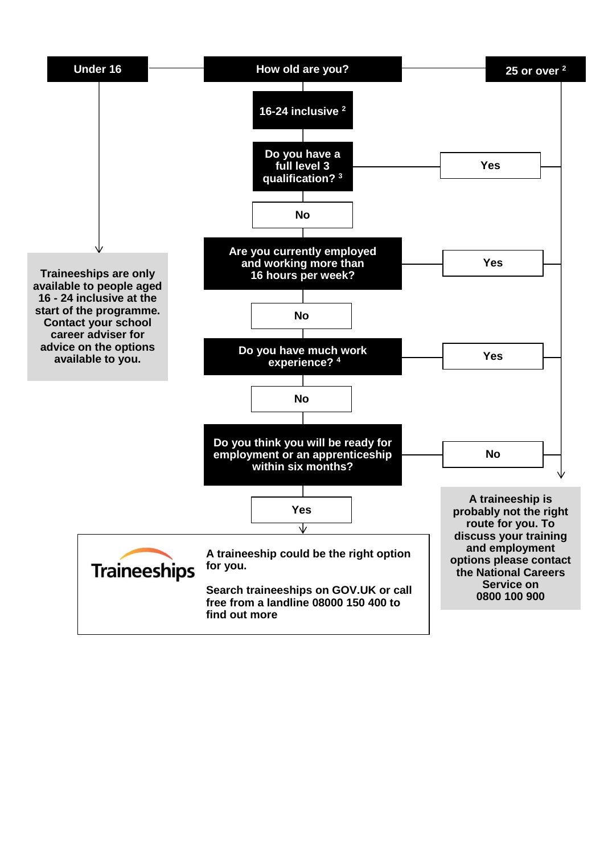